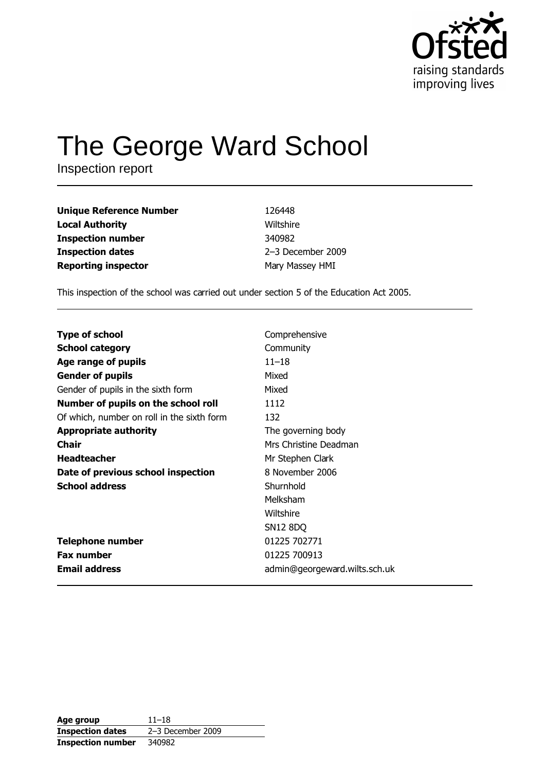

# The George Ward School

Inspection report

| 126448            |
|-------------------|
| Wiltshire         |
| 340982            |
| 2-3 December 2009 |
| Mary Massey HMI   |
|                   |

This inspection of the school was carried out under section 5 of the Education Act 2005.

| <b>Type of school</b>                      | Comprehensive                 |
|--------------------------------------------|-------------------------------|
| <b>School category</b>                     | Community                     |
| Age range of pupils                        | $11 - 18$                     |
| <b>Gender of pupils</b>                    | Mixed                         |
| Gender of pupils in the sixth form         | Mixed                         |
| Number of pupils on the school roll        | 1112                          |
| Of which, number on roll in the sixth form | 132                           |
| <b>Appropriate authority</b>               | The governing body            |
| <b>Chair</b>                               | Mrs Christine Deadman         |
| <b>Headteacher</b>                         | Mr Stephen Clark              |
| Date of previous school inspection         | 8 November 2006               |
| <b>School address</b>                      | Shurnhold                     |
|                                            | Melksham                      |
|                                            | Wiltshire                     |
|                                            | <b>SN12 8DQ</b>               |
| <b>Telephone number</b>                    | 01225 702771                  |
| <b>Fax number</b>                          | 01225 700913                  |
| <b>Email address</b>                       | admin@georgeward.wilts.sch.uk |

| Age group                | $11 - 18$         |
|--------------------------|-------------------|
| <b>Inspection dates</b>  | 2-3 December 2009 |
| <b>Inspection number</b> | 340982            |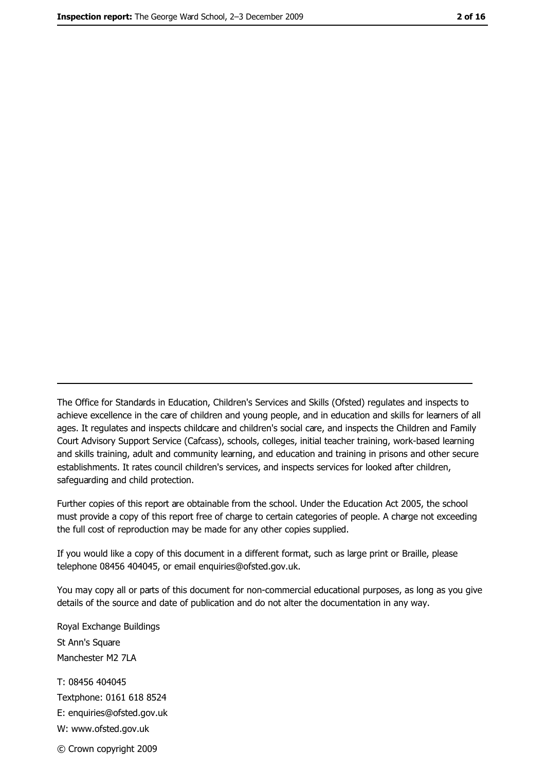The Office for Standards in Education, Children's Services and Skills (Ofsted) regulates and inspects to achieve excellence in the care of children and young people, and in education and skills for learners of all ages. It regulates and inspects childcare and children's social care, and inspects the Children and Family Court Advisory Support Service (Cafcass), schools, colleges, initial teacher training, work-based learning and skills training, adult and community learning, and education and training in prisons and other secure establishments. It rates council children's services, and inspects services for looked after children, safequarding and child protection.

Further copies of this report are obtainable from the school. Under the Education Act 2005, the school must provide a copy of this report free of charge to certain categories of people. A charge not exceeding the full cost of reproduction may be made for any other copies supplied.

If you would like a copy of this document in a different format, such as large print or Braille, please telephone 08456 404045, or email enquiries@ofsted.gov.uk.

You may copy all or parts of this document for non-commercial educational purposes, as long as you give details of the source and date of publication and do not alter the documentation in any way.

Royal Exchange Buildings St Ann's Square Manchester M2 7LA T: 08456 404045 Textphone: 0161 618 8524 E: enquiries@ofsted.gov.uk W: www.ofsted.gov.uk © Crown copyright 2009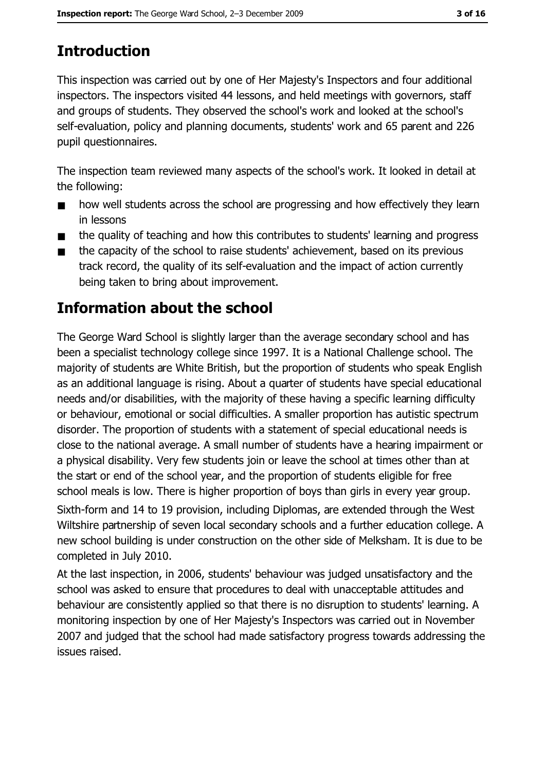# **Introduction**

This inspection was carried out by one of Her Majesty's Inspectors and four additional inspectors. The inspectors visited 44 lessons, and held meetings with governors, staff and groups of students. They observed the school's work and looked at the school's self-evaluation, policy and planning documents, students' work and 65 parent and 226 pupil questionnaires.

The inspection team reviewed many aspects of the school's work. It looked in detail at the following:

- how well students across the school are progressing and how effectively they learn  $\blacksquare$ in lessons
- the quality of teaching and how this contributes to students' learning and progress  $\blacksquare$
- the capacity of the school to raise students' achievement, based on its previous  $\blacksquare$ track record, the quality of its self-evaluation and the impact of action currently being taken to bring about improvement.

# **Information about the school**

The George Ward School is slightly larger than the average secondary school and has been a specialist technology college since 1997. It is a National Challenge school. The majority of students are White British, but the proportion of students who speak English as an additional language is rising. About a quarter of students have special educational needs and/or disabilities, with the majority of these having a specific learning difficulty or behaviour, emotional or social difficulties. A smaller proportion has autistic spectrum disorder. The proportion of students with a statement of special educational needs is close to the national average. A small number of students have a hearing impairment or a physical disability. Very few students join or leave the school at times other than at the start or end of the school year, and the proportion of students eligible for free school meals is low. There is higher proportion of boys than girls in every year group. Sixth-form and 14 to 19 provision, including Diplomas, are extended through the West Wiltshire partnership of seven local secondary schools and a further education college. A new school building is under construction on the other side of Melksham. It is due to be completed in July 2010.

At the last inspection, in 2006, students' behaviour was judged unsatisfactory and the school was asked to ensure that procedures to deal with unacceptable attitudes and behaviour are consistently applied so that there is no disruption to students' learning. A monitoring inspection by one of Her Majesty's Inspectors was carried out in November 2007 and judged that the school had made satisfactory progress towards addressing the issues raised.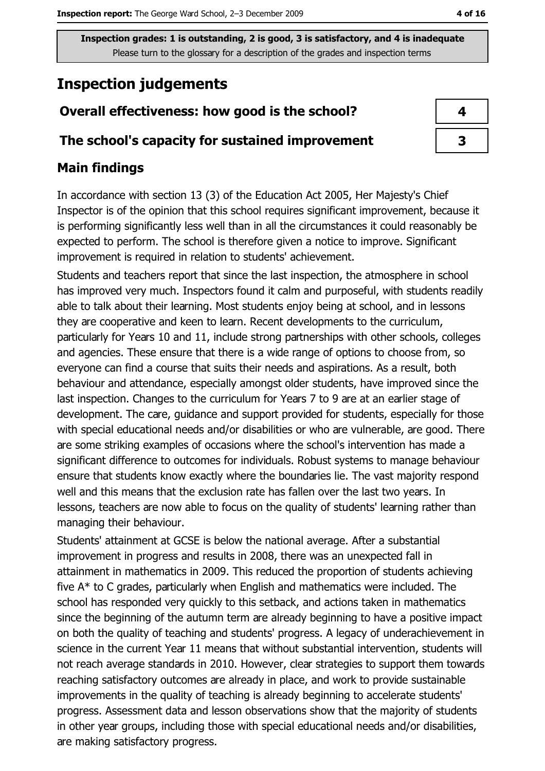# **Inspection judgements**

# Overall effectiveness: how good is the school?

### The school's capacity for sustained improvement

## **Main findings**

In accordance with section 13 (3) of the Education Act 2005, Her Majesty's Chief Inspector is of the opinion that this school requires significant improvement, because it is performing significantly less well than in all the circumstances it could reasonably be expected to perform. The school is therefore given a notice to improve. Significant improvement is required in relation to students' achievement.

Students and teachers report that since the last inspection, the atmosphere in school has improved very much. Inspectors found it calm and purposeful, with students readily able to talk about their learning. Most students enjoy being at school, and in lessons they are cooperative and keen to learn. Recent developments to the curriculum, particularly for Years 10 and 11, include strong partnerships with other schools, colleges and agencies. These ensure that there is a wide range of options to choose from, so everyone can find a course that suits their needs and aspirations. As a result, both behaviour and attendance, especially amongst older students, have improved since the last inspection. Changes to the curriculum for Years 7 to 9 are at an earlier stage of development. The care, guidance and support provided for students, especially for those with special educational needs and/or disabilities or who are vulnerable, are good. There are some striking examples of occasions where the school's intervention has made a significant difference to outcomes for individuals. Robust systems to manage behaviour ensure that students know exactly where the boundaries lie. The vast majority respond well and this means that the exclusion rate has fallen over the last two years. In lessons, teachers are now able to focus on the quality of students' learning rather than managing their behaviour.

Students' attainment at GCSE is below the national average. After a substantial improvement in progress and results in 2008, there was an unexpected fall in attainment in mathematics in 2009. This reduced the proportion of students achieving five  $A^*$  to C grades, particularly when English and mathematics were included. The school has responded very quickly to this setback, and actions taken in mathematics since the beginning of the autumn term are already beginning to have a positive impact on both the quality of teaching and students' progress. A legacy of underachievement in science in the current Year 11 means that without substantial intervention, students will not reach average standards in 2010. However, clear strategies to support them towards reaching satisfactory outcomes are already in place, and work to provide sustainable improvements in the quality of teaching is already beginning to accelerate students' progress. Assessment data and lesson observations show that the majority of students in other year groups, including those with special educational needs and/or disabilities, are making satisfactory progress.

| 4 |  |
|---|--|
| 3 |  |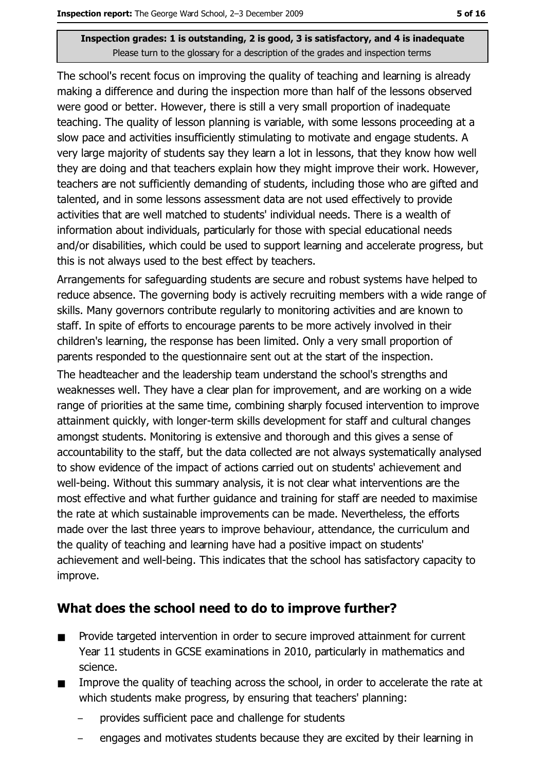The school's recent focus on improving the quality of teaching and learning is already making a difference and during the inspection more than half of the lessons observed were good or better. However, there is still a very small proportion of inadequate teaching. The quality of lesson planning is variable, with some lessons proceeding at a slow pace and activities insufficiently stimulating to motivate and engage students. A very large majority of students say they learn a lot in lessons, that they know how well they are doing and that teachers explain how they might improve their work. However, teachers are not sufficiently demanding of students, including those who are gifted and talented, and in some lessons assessment data are not used effectively to provide activities that are well matched to students' individual needs. There is a wealth of information about individuals, particularly for those with special educational needs and/or disabilities, which could be used to support learning and accelerate progress, but this is not always used to the best effect by teachers.

Arrangements for safeguarding students are secure and robust systems have helped to reduce absence. The governing body is actively recruiting members with a wide range of skills. Many governors contribute regularly to monitoring activities and are known to staff. In spite of efforts to encourage parents to be more actively involved in their children's learning, the response has been limited. Only a very small proportion of parents responded to the questionnaire sent out at the start of the inspection.

The headteacher and the leadership team understand the school's strengths and weaknesses well. They have a clear plan for improvement, and are working on a wide range of priorities at the same time, combining sharply focused intervention to improve attainment quickly, with longer-term skills development for staff and cultural changes amongst students. Monitoring is extensive and thorough and this gives a sense of accountability to the staff, but the data collected are not always systematically analysed to show evidence of the impact of actions carried out on students' achievement and well-being. Without this summary analysis, it is not clear what interventions are the most effective and what further quidance and training for staff are needed to maximise the rate at which sustainable improvements can be made. Nevertheless, the efforts made over the last three years to improve behaviour, attendance, the curriculum and the quality of teaching and learning have had a positive impact on students' achievement and well-being. This indicates that the school has satisfactory capacity to improve.

## What does the school need to do to improve further?

- Provide targeted intervention in order to secure improved attainment for current  $\blacksquare$ Year 11 students in GCSE examinations in 2010, particularly in mathematics and science.
- Improve the quality of teaching across the school, in order to accelerate the rate at  $\blacksquare$ which students make progress, by ensuring that teachers' planning:
	- provides sufficient pace and challenge for students
	- engages and motivates students because they are excited by their learning in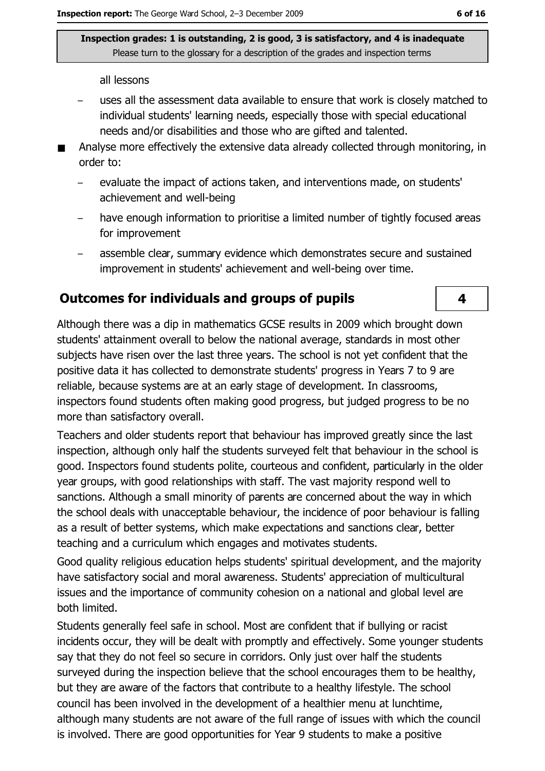all lessons

- uses all the assessment data available to ensure that work is closely matched to individual students' learning needs, especially those with special educational needs and/or disabilities and those who are gifted and talented.
- Analyse more effectively the extensive data already collected through monitoring, in order to:
	- evaluate the impact of actions taken, and interventions made, on students'  $\equiv$ achievement and well-being
	- have enough information to prioritise a limited number of tightly focused areas for improvement
	- assemble clear, summary evidence which demonstrates secure and sustained improvement in students' achievement and well-being over time.

#### **Outcomes for individuals and groups of pupils**

Although there was a dip in mathematics GCSE results in 2009 which brought down students' attainment overall to below the national average, standards in most other subjects have risen over the last three years. The school is not yet confident that the positive data it has collected to demonstrate students' progress in Years 7 to 9 are reliable, because systems are at an early stage of development. In classrooms, inspectors found students often making good progress, but judged progress to be no more than satisfactory overall.

Teachers and older students report that behaviour has improved greatly since the last inspection, although only half the students surveyed felt that behaviour in the school is good. Inspectors found students polite, courteous and confident, particularly in the older year groups, with good relationships with staff. The vast majority respond well to sanctions. Although a small minority of parents are concerned about the way in which the school deals with unacceptable behaviour, the incidence of poor behaviour is falling as a result of better systems, which make expectations and sanctions clear, better teaching and a curriculum which engages and motivates students.

Good quality religious education helps students' spiritual development, and the majority have satisfactory social and moral awareness. Students' appreciation of multicultural issues and the importance of community cohesion on a national and global level are both limited.

Students generally feel safe in school. Most are confident that if bullying or racist incidents occur, they will be dealt with promptly and effectively. Some younger students say that they do not feel so secure in corridors. Only just over half the students surveyed during the inspection believe that the school encourages them to be healthy, but they are aware of the factors that contribute to a healthy lifestyle. The school council has been involved in the development of a healthier menu at lunchtime, although many students are not aware of the full range of issues with which the council is involved. There are good opportunities for Year 9 students to make a positive

4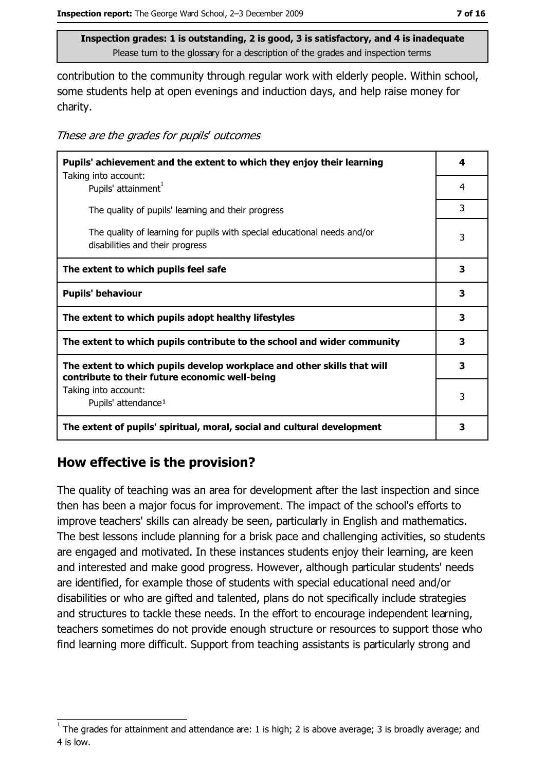contribution to the community through regular work with elderly people. Within school, some students help at open evenings and induction days, and help raise money for charity.

These are the grades for pupils' outcomes

| Pupils' achievement and the extent to which they enjoy their learning                                                     |   |
|---------------------------------------------------------------------------------------------------------------------------|---|
| Taking into account:<br>Pupils' attainment <sup>1</sup>                                                                   | 4 |
| The quality of pupils' learning and their progress                                                                        | 3 |
| The quality of learning for pupils with special educational needs and/or<br>disabilities and their progress               | 3 |
| The extent to which pupils feel safe                                                                                      | 3 |
| <b>Pupils' behaviour</b>                                                                                                  | 3 |
| The extent to which pupils adopt healthy lifestyles                                                                       | 3 |
| The extent to which pupils contribute to the school and wider community                                                   | 3 |
| The extent to which pupils develop workplace and other skills that will<br>contribute to their future economic well-being | 3 |
| Taking into account:<br>Pupils' attendance <sup>1</sup>                                                                   | 3 |
| The extent of pupils' spiritual, moral, social and cultural development                                                   | 3 |

## How effective is the provision?

The quality of teaching was an area for development after the last inspection and since then has been a major focus for improvement. The impact of the school's efforts to improve teachers' skills can already be seen, particularly in English and mathematics. The best lessons include planning for a brisk pace and challenging activities, so students are engaged and motivated. In these instances students enjoy their learning, are keen and interested and make good progress. However, although particular students' needs are identified, for example those of students with special educational need and/or disabilities or who are gifted and talented, plans do not specifically include strategies and structures to tackle these needs. In the effort to encourage independent learning, teachers sometimes do not provide enough structure or resources to support those who find learning more difficult. Support from teaching assistants is particularly strong and

The grades for attainment and attendance are: 1 is high; 2 is above average; 3 is broadly average; and 4 is low.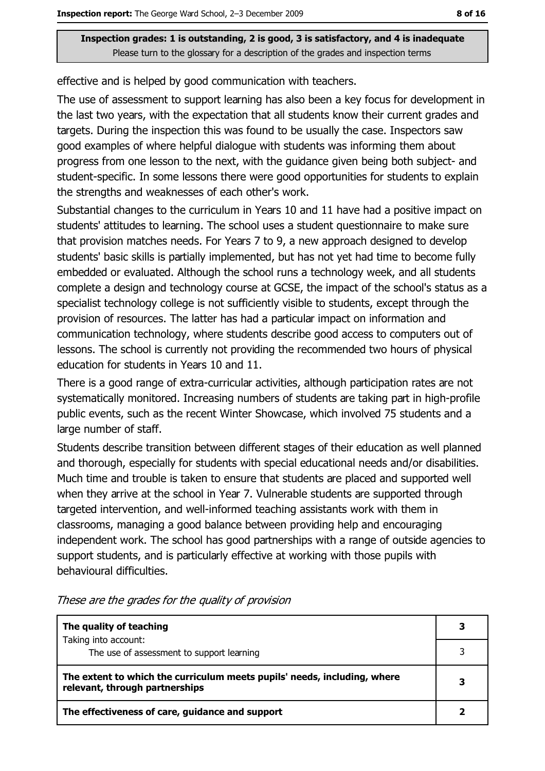effective and is helped by good communication with teachers.

The use of assessment to support learning has also been a key focus for development in the last two years, with the expectation that all students know their current grades and targets. During the inspection this was found to be usually the case. Inspectors saw good examples of where helpful dialogue with students was informing them about progress from one lesson to the next, with the guidance given being both subject- and student-specific. In some lessons there were good opportunities for students to explain the strengths and weaknesses of each other's work.

Substantial changes to the curriculum in Years 10 and 11 have had a positive impact on students' attitudes to learning. The school uses a student questionnaire to make sure that provision matches needs. For Years 7 to 9, a new approach designed to develop students' basic skills is partially implemented, but has not yet had time to become fully embedded or evaluated. Although the school runs a technology week, and all students complete a design and technology course at GCSE, the impact of the school's status as a specialist technology college is not sufficiently visible to students, except through the provision of resources. The latter has had a particular impact on information and communication technology, where students describe good access to computers out of lessons. The school is currently not providing the recommended two hours of physical education for students in Years 10 and 11.

There is a good range of extra-curricular activities, although participation rates are not systematically monitored. Increasing numbers of students are taking part in high-profile public events, such as the recent Winter Showcase, which involved 75 students and a large number of staff.

Students describe transition between different stages of their education as well planned and thorough, especially for students with special educational needs and/or disabilities. Much time and trouble is taken to ensure that students are placed and supported well when they arrive at the school in Year 7. Vulnerable students are supported through targeted intervention, and well-informed teaching assistants work with them in classrooms, managing a good balance between providing help and encouraging independent work. The school has good partnerships with a range of outside agencies to support students, and is particularly effective at working with those pupils with behavioural difficulties.

| The quality of teaching                                                                                    |  |
|------------------------------------------------------------------------------------------------------------|--|
| Taking into account:<br>The use of assessment to support learning                                          |  |
| The extent to which the curriculum meets pupils' needs, including, where<br>relevant, through partnerships |  |
| The effectiveness of care, guidance and support                                                            |  |

These are the grades for the quality of provision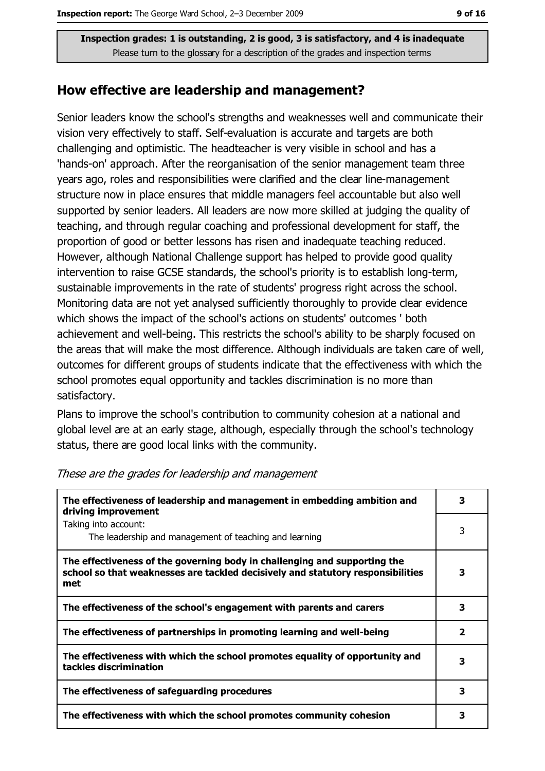#### How effective are leadership and management?

Senior leaders know the school's strengths and weaknesses well and communicate their vision very effectively to staff. Self-evaluation is accurate and targets are both challenging and optimistic. The headteacher is very visible in school and has a 'hands-on' approach. After the reorganisation of the senior management team three years ago, roles and responsibilities were clarified and the clear line-management structure now in place ensures that middle managers feel accountable but also well supported by senior leaders. All leaders are now more skilled at judging the quality of teaching, and through regular coaching and professional development for staff, the proportion of good or better lessons has risen and inadequate teaching reduced. However, although National Challenge support has helped to provide good quality intervention to raise GCSE standards, the school's priority is to establish long-term, sustainable improvements in the rate of students' progress right across the school. Monitoring data are not yet analysed sufficiently thoroughly to provide clear evidence which shows the impact of the school's actions on students' outcomes ' both achievement and well-being. This restricts the school's ability to be sharply focused on the areas that will make the most difference. Although individuals are taken care of well, outcomes for different groups of students indicate that the effectiveness with which the school promotes equal opportunity and tackles discrimination is no more than satisfactory.

Plans to improve the school's contribution to community cohesion at a national and global level are at an early stage, although, especially through the school's technology status, there are good local links with the community.

| The effectiveness of leadership and management in embedding ambition and<br>driving improvement                                                                     | 3                       |
|---------------------------------------------------------------------------------------------------------------------------------------------------------------------|-------------------------|
| Taking into account:<br>The leadership and management of teaching and learning                                                                                      | 3                       |
| The effectiveness of the governing body in challenging and supporting the<br>school so that weaknesses are tackled decisively and statutory responsibilities<br>met | 3                       |
| The effectiveness of the school's engagement with parents and carers                                                                                                | 3                       |
| The effectiveness of partnerships in promoting learning and well-being                                                                                              | $\overline{\mathbf{2}}$ |
| The effectiveness with which the school promotes equality of opportunity and<br>tackles discrimination                                                              | 3                       |
| The effectiveness of safeguarding procedures                                                                                                                        | 3                       |
| The effectiveness with which the school promotes community cohesion                                                                                                 | 3                       |

These are the grades for leadership and management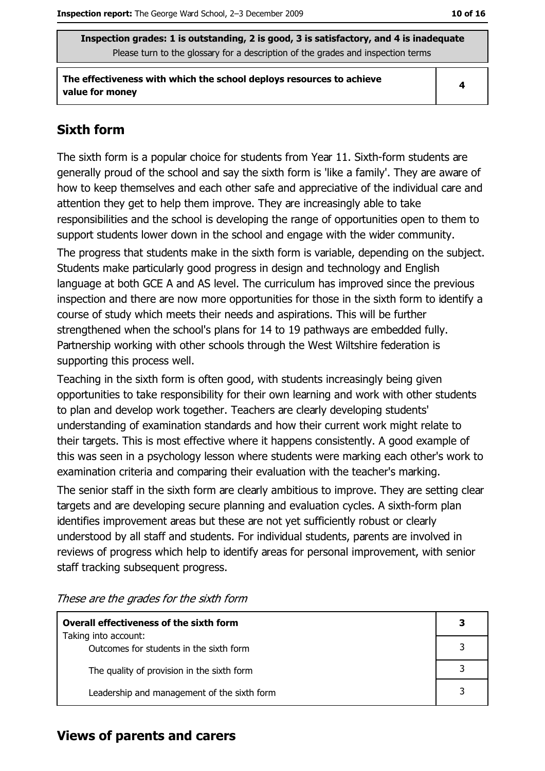The effectiveness with which the school deploys resources to achieve value for money

 $\overline{\mathbf{4}}$ 

## **Sixth form**

The sixth form is a popular choice for students from Year 11. Sixth-form students are generally proud of the school and say the sixth form is 'like a family'. They are aware of how to keep themselves and each other safe and appreciative of the individual care and attention they get to help them improve. They are increasingly able to take responsibilities and the school is developing the range of opportunities open to them to support students lower down in the school and engage with the wider community.

The progress that students make in the sixth form is variable, depending on the subject. Students make particularly good progress in design and technology and English language at both GCE A and AS level. The curriculum has improved since the previous inspection and there are now more opportunities for those in the sixth form to identify a course of study which meets their needs and aspirations. This will be further strengthened when the school's plans for 14 to 19 pathways are embedded fully. Partnership working with other schools through the West Wiltshire federation is supporting this process well.

Teaching in the sixth form is often good, with students increasingly being given opportunities to take responsibility for their own learning and work with other students to plan and develop work together. Teachers are clearly developing students' understanding of examination standards and how their current work might relate to their targets. This is most effective where it happens consistently. A good example of this was seen in a psychology lesson where students were marking each other's work to examination criteria and comparing their evaluation with the teacher's marking.

The senior staff in the sixth form are clearly ambitious to improve. They are setting clear targets and are developing secure planning and evaluation cycles. A sixth-form plan identifies improvement areas but these are not yet sufficiently robust or clearly understood by all staff and students. For individual students, parents are involved in reviews of progress which help to identify areas for personal improvement, with senior staff tracking subsequent progress.

These are the grades for the sixth form

| <b>Overall effectiveness of the sixth form</b>                  |  |
|-----------------------------------------------------------------|--|
| Taking into account:<br>Outcomes for students in the sixth form |  |
| The quality of provision in the sixth form                      |  |
| Leadership and management of the sixth form                     |  |
|                                                                 |  |

## **Views of parents and carers**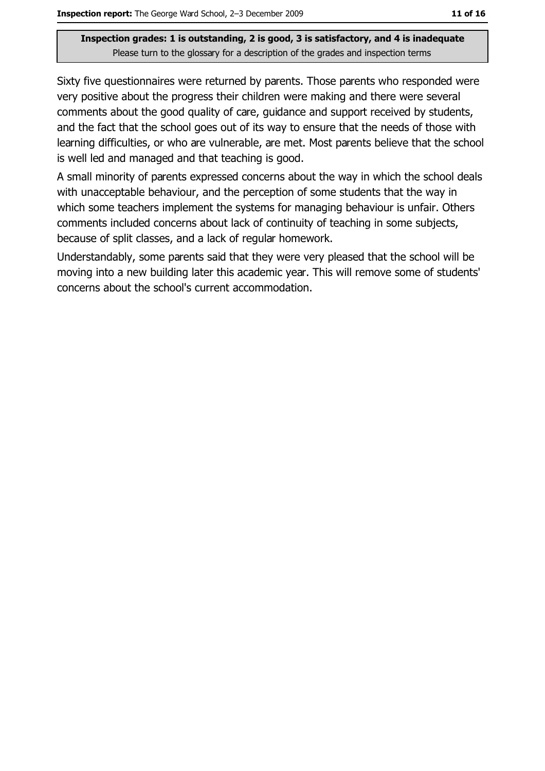Sixty five questionnaires were returned by parents. Those parents who responded were very positive about the progress their children were making and there were several comments about the good quality of care, guidance and support received by students, and the fact that the school goes out of its way to ensure that the needs of those with learning difficulties, or who are vulnerable, are met. Most parents believe that the school is well led and managed and that teaching is good.

A small minority of parents expressed concerns about the way in which the school deals with unacceptable behaviour, and the perception of some students that the way in which some teachers implement the systems for managing behaviour is unfair. Others comments included concerns about lack of continuity of teaching in some subjects, because of split classes, and a lack of regular homework.

Understandably, some parents said that they were very pleased that the school will be moving into a new building later this academic year. This will remove some of students' concerns about the school's current accommodation.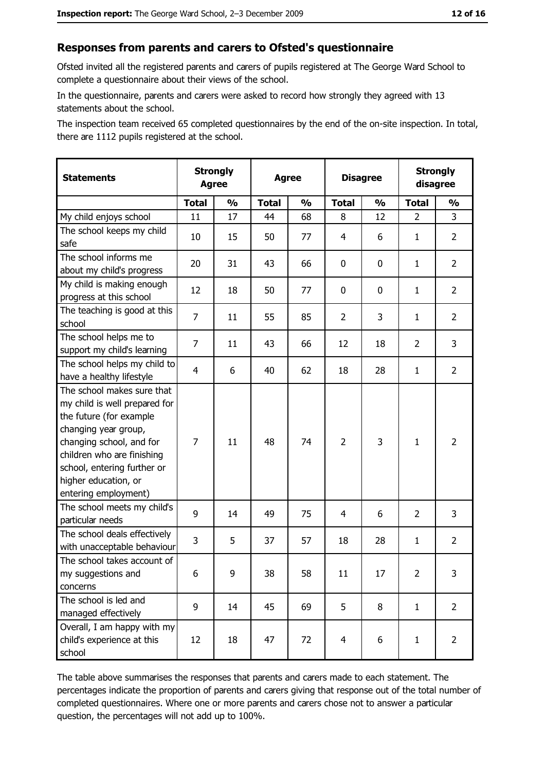#### Responses from parents and carers to Ofsted's questionnaire

Ofsted invited all the registered parents and carers of pupils registered at The George Ward School to complete a questionnaire about their views of the school.

In the questionnaire, parents and carers were asked to record how strongly they agreed with 13 statements about the school.

The inspection team received 65 completed questionnaires by the end of the on-site inspection. In total, there are 1112 pupils registered at the school.

| <b>Statements</b>                                                                                                                                                                                                                                       | <b>Strongly</b><br><b>Agree</b> |               | <b>Agree</b> |               | <b>Disagree</b> |               | <b>Strongly</b><br>disagree |                |
|---------------------------------------------------------------------------------------------------------------------------------------------------------------------------------------------------------------------------------------------------------|---------------------------------|---------------|--------------|---------------|-----------------|---------------|-----------------------------|----------------|
|                                                                                                                                                                                                                                                         | <b>Total</b>                    | $\frac{1}{2}$ | <b>Total</b> | $\frac{0}{0}$ | <b>Total</b>    | $\frac{0}{0}$ | <b>Total</b>                | $\frac{1}{2}$  |
| My child enjoys school                                                                                                                                                                                                                                  | 11                              | 17            | 44           | 68            | 8               | 12            | $\overline{2}$              | 3              |
| The school keeps my child<br>safe                                                                                                                                                                                                                       | 10                              | 15            | 50           | 77            | 4               | 6             | 1                           | $\overline{2}$ |
| The school informs me<br>about my child's progress                                                                                                                                                                                                      | 20                              | 31            | 43           | 66            | 0               | 0             | 1                           | $\overline{2}$ |
| My child is making enough<br>progress at this school                                                                                                                                                                                                    | 12                              | 18            | 50           | 77            | 0               | 0             | 1                           | $\overline{2}$ |
| The teaching is good at this<br>school                                                                                                                                                                                                                  | 7                               | 11            | 55           | 85            | $\overline{2}$  | 3             | 1                           | $\overline{2}$ |
| The school helps me to<br>support my child's learning                                                                                                                                                                                                   | $\overline{7}$                  | 11            | 43           | 66            | 12              | 18            | $\overline{2}$              | 3              |
| The school helps my child to<br>have a healthy lifestyle                                                                                                                                                                                                | $\overline{4}$                  | 6             | 40           | 62            | 18              | 28            | 1                           | $\overline{2}$ |
| The school makes sure that<br>my child is well prepared for<br>the future (for example<br>changing year group,<br>changing school, and for<br>children who are finishing<br>school, entering further or<br>higher education, or<br>entering employment) | 7                               | 11            | 48           | 74            | $\overline{2}$  | 3             | 1                           | $\overline{2}$ |
| The school meets my child's<br>particular needs                                                                                                                                                                                                         | 9                               | 14            | 49           | 75            | 4               | 6             | $\overline{2}$              | 3              |
| The school deals effectively<br>with unacceptable behaviour                                                                                                                                                                                             | 3                               | 5             | 37           | 57            | 18              | 28            | $\mathbf{1}$                | $\overline{2}$ |
| The school takes account of<br>my suggestions and<br>concerns                                                                                                                                                                                           | 6                               | 9             | 38           | 58            | 11              | 17            | 2                           | 3              |
| The school is led and<br>managed effectively                                                                                                                                                                                                            | 9                               | 14            | 45           | 69            | 5               | 8             | $\mathbf{1}$                | $\overline{2}$ |
| Overall, I am happy with my<br>child's experience at this<br>school                                                                                                                                                                                     | 12                              | 18            | 47           | 72            | $\overline{4}$  | 6             | $\mathbf{1}$                | $\overline{2}$ |

The table above summarises the responses that parents and carers made to each statement. The percentages indicate the proportion of parents and carers giving that response out of the total number of completed questionnaires. Where one or more parents and carers chose not to answer a particular question, the percentages will not add up to 100%.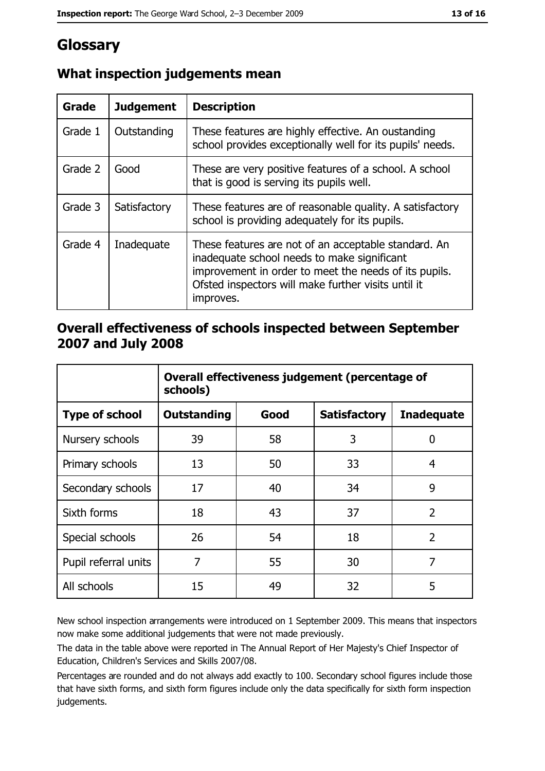# Glossary

| Grade   | <b>Judgement</b> | <b>Description</b>                                                                                                                                                                                                               |  |
|---------|------------------|----------------------------------------------------------------------------------------------------------------------------------------------------------------------------------------------------------------------------------|--|
| Grade 1 | Outstanding      | These features are highly effective. An oustanding<br>school provides exceptionally well for its pupils' needs.                                                                                                                  |  |
| Grade 2 | Good             | These are very positive features of a school. A school<br>that is good is serving its pupils well.                                                                                                                               |  |
| Grade 3 | Satisfactory     | These features are of reasonable quality. A satisfactory<br>school is providing adequately for its pupils.                                                                                                                       |  |
| Grade 4 | Inadequate       | These features are not of an acceptable standard. An<br>inadequate school needs to make significant<br>improvement in order to meet the needs of its pupils.<br>Ofsted inspectors will make further visits until it<br>improves. |  |

# What inspection judgements mean

## Overall effectiveness of schools inspected between September 2007 and July 2008

|                       | Overall effectiveness judgement (percentage of<br>schools) |      |                     |                   |
|-----------------------|------------------------------------------------------------|------|---------------------|-------------------|
| <b>Type of school</b> | Outstanding                                                | Good | <b>Satisfactory</b> | <b>Inadequate</b> |
| Nursery schools       | 39                                                         | 58   | 3                   | 0                 |
| Primary schools       | 13                                                         | 50   | 33                  | 4                 |
| Secondary schools     | 17                                                         | 40   | 34                  | 9                 |
| Sixth forms           | 18                                                         | 43   | 37                  | $\overline{2}$    |
| Special schools       | 26                                                         | 54   | 18                  | $\overline{2}$    |
| Pupil referral units  | 7                                                          | 55   | 30                  | 7                 |
| All schools           | 15                                                         | 49   | 32                  | 5                 |

New school inspection arrangements were introduced on 1 September 2009. This means that inspectors now make some additional judgements that were not made previously.

The data in the table above were reported in The Annual Report of Her Majesty's Chief Inspector of Education, Children's Services and Skills 2007/08.

Percentages are rounded and do not always add exactly to 100. Secondary school figures include those that have sixth forms, and sixth form figures include only the data specifically for sixth form inspection judgements.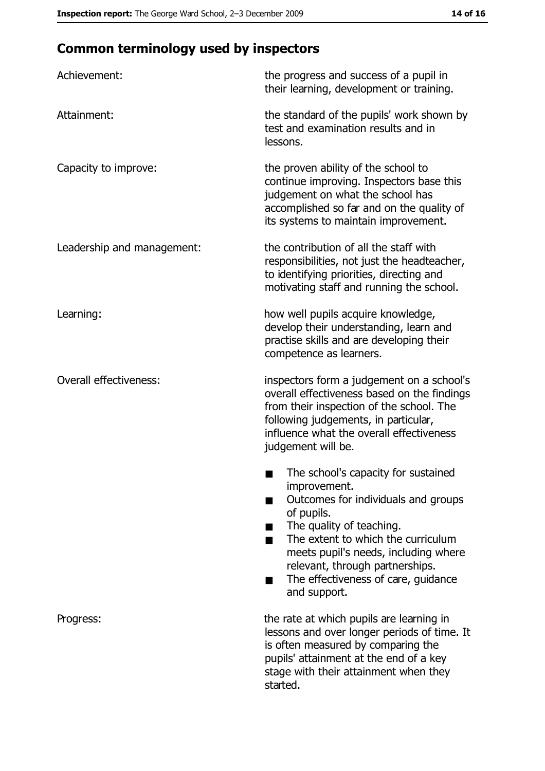# **Common terminology used by inspectors**

| Achievement:                  | the progress and success of a pupil in<br>their learning, development or training.                                                                                                                                                                                                                           |
|-------------------------------|--------------------------------------------------------------------------------------------------------------------------------------------------------------------------------------------------------------------------------------------------------------------------------------------------------------|
| Attainment:                   | the standard of the pupils' work shown by<br>test and examination results and in<br>lessons.                                                                                                                                                                                                                 |
| Capacity to improve:          | the proven ability of the school to<br>continue improving. Inspectors base this<br>judgement on what the school has<br>accomplished so far and on the quality of<br>its systems to maintain improvement.                                                                                                     |
| Leadership and management:    | the contribution of all the staff with<br>responsibilities, not just the headteacher,<br>to identifying priorities, directing and<br>motivating staff and running the school.                                                                                                                                |
| Learning:                     | how well pupils acquire knowledge,<br>develop their understanding, learn and<br>practise skills and are developing their<br>competence as learners.                                                                                                                                                          |
| <b>Overall effectiveness:</b> | inspectors form a judgement on a school's<br>overall effectiveness based on the findings<br>from their inspection of the school. The<br>following judgements, in particular,<br>influence what the overall effectiveness<br>judgement will be.                                                               |
|                               | The school's capacity for sustained<br>improvement.<br>Outcomes for individuals and groups<br>of pupils.<br>The quality of teaching.<br>The extent to which the curriculum<br>meets pupil's needs, including where<br>relevant, through partnerships.<br>The effectiveness of care, guidance<br>and support. |
| Progress:                     | the rate at which pupils are learning in<br>lessons and over longer periods of time. It<br>is often measured by comparing the<br>pupils' attainment at the end of a key<br>stage with their attainment when they<br>started.                                                                                 |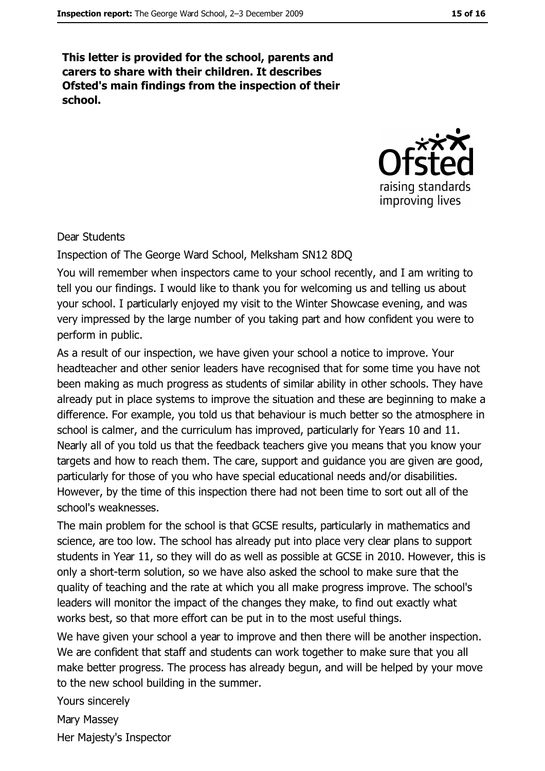This letter is provided for the school, parents and carers to share with their children. It describes Ofsted's main findings from the inspection of their school.



#### Dear Students

Inspection of The George Ward School, Melksham SN12 8DQ

You will remember when inspectors came to your school recently, and I am writing to tell you our findings. I would like to thank you for welcoming us and telling us about your school. I particularly enjoyed my visit to the Winter Showcase evening, and was very impressed by the large number of you taking part and how confident you were to perform in public.

As a result of our inspection, we have given your school a notice to improve. Your headteacher and other senior leaders have recognised that for some time you have not been making as much progress as students of similar ability in other schools. They have already put in place systems to improve the situation and these are beginning to make a difference. For example, you told us that behaviour is much better so the atmosphere in school is calmer, and the curriculum has improved, particularly for Years 10 and 11. Nearly all of you told us that the feedback teachers give you means that you know your targets and how to reach them. The care, support and quidance you are given are good, particularly for those of you who have special educational needs and/or disabilities. However, by the time of this inspection there had not been time to sort out all of the school's weaknesses.

The main problem for the school is that GCSE results, particularly in mathematics and science, are too low. The school has already put into place very clear plans to support students in Year 11, so they will do as well as possible at GCSE in 2010. However, this is only a short-term solution, so we have also asked the school to make sure that the quality of teaching and the rate at which you all make progress improve. The school's leaders will monitor the impact of the changes they make, to find out exactly what works best, so that more effort can be put in to the most useful things.

We have given your school a year to improve and then there will be another inspection. We are confident that staff and students can work together to make sure that you all make better progress. The process has already begun, and will be helped by your move to the new school building in the summer.

Yours sincerely Mary Massey Her Majesty's Inspector